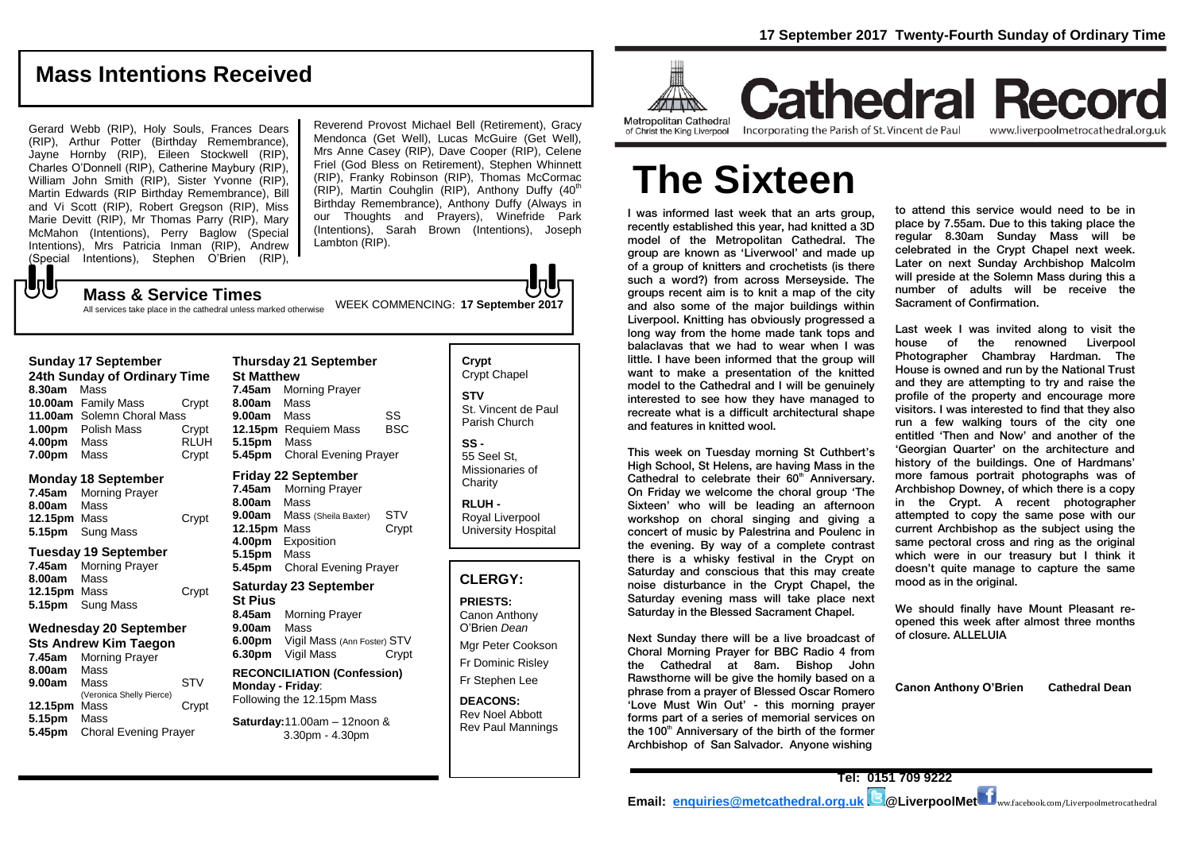# **Mass Intentions Received**

Gerard Webb (RIP), Holy Souls, Frances Dears (RIP), Arthur Potter (Birthday Remembrance), Jayne Hornby (RIP), Eileen Stockwell (RIP), Charles O'Donnell (RIP), Catherine Maybury (RIP), William John Smith (RIP), Sister Yvonne (RIP), Martin Edwards (RIP Birthday Remembrance), Bill and Vi Scott (RIP), Robert Gregson (RIP), Miss Marie Devitt (RIP), Mr Thomas Parry (RIP), Mary McMahon (Intentions), Perry Baglow (Special Intentions), Mrs Patricia Inman (RIP), Andrew (Special Intentions), Stephen O'Brien (RIP),

Reverend Provost Michael Bell (Retirement), Gracy Mendonca (Get Well), Lucas McGuire (Get Well), Mrs Anne Casey (RIP), Dave Cooper (RIP), Celene Friel (God Bless on Retirement), Stephen Whinnett (RIP), Franky Robinson (RIP), Thomas McCormac  $(RIP)$ , Martin Couhglin  $(RIP)$ , Anthony Duffy  $(40<sup>th</sup>)$ Birthday Remembrance), Anthony Duffy (Always in our Thoughts and Prayers), Winefride Park (Intentions), Sarah Brown (Intentions), Joseph Lambton (RIP).

## All services take place in the cathedral unless marked otherwise

 ${\bf J}$ 

| 24th Sunday of Ordinary Time |                            |             |  |  |
|------------------------------|----------------------------|-------------|--|--|
| 8.30am                       | Mass                       |             |  |  |
|                              | 10.00am Family Mass        | Crvpt       |  |  |
|                              | 11.00am Solemn Choral Mass |             |  |  |
|                              | 1.00pm Polish Mass         | Crypt       |  |  |
| 4.00pm                       | Mass                       | <b>RLUH</b> |  |  |
| 7.00pm                       | Mass                       | Crypt       |  |  |

#### **Monday 18 September**

**7.45am** Morning Prayer **8.00am** Mass **12.15pm** Mass Crypt **5.15pm** Sung Mass

#### **Tuesday 19 September**

| <b>Morning Prayer</b> |       |
|-----------------------|-------|
| 8.00am Mass           |       |
| 12.15pm Mass          | Crypt |
| 5.15pm Sung Mass      |       |
|                       |       |

#### **Wednesday 20 September Sts Andrew Kim Taegon**

| Sts Andrew Kim Taegon |                              |            |  |  |
|-----------------------|------------------------------|------------|--|--|
| 7.45am                | <b>Morning Prayer</b>        |            |  |  |
| 8.00am                | Mass                         |            |  |  |
| 9.00am                | Mass                         | <b>STV</b> |  |  |
|                       | (Veronica Shelly Pierce)     |            |  |  |
| 12.15pm               | Mass                         | Crypt      |  |  |
| 5.15pm                | Mass                         |            |  |  |
| 5.45pm                | <b>Choral Evening Prayer</b> |            |  |  |

#### **Thursday 21 September St Matthew 7.45am** Morning Prayer **8.00am** Mass **9.00am** Mass SS<br>**12.15pm** Requiem Mass BSC **12.15pm** Requiem Mass **5.15pm** Mass **5.45pm** Choral Evening Prayer

#### **Friday 22 September**

**7.45am** Morning Prayer **8.00am** Mass **9.00am** Mass (Sheila Baxter) STV **12.15pm** Mass Crypt **4.00pm** Exposition **5.15pm** Mass **5.45pm** Choral Evening Prayer

#### **Saturday 23 September St Pius 8.45am** Morning Prayer **9.00am** Mass **6.00pm** Vigil Mass (Ann Foster) STV

**6.30pm** Vigil Mass Crypt **RECONCILIATION (Confession)** 

**Monday - Friday**: Following the 12.15pm Mass

#### **Saturday:**11.00am – 12noon & 3.30pm - 4.30pm

**Crypt**  Crypt Chapel **STV** St. Vincent de Paul Parish Church **SS -** 55 Seel St,

Missionaries of **Charity** 

**RLUH -** Royal Liverpool University Hospital

#### **CLERGY:**

**PRIESTS:** Canon Anthony O'Brien *Dean* Mgr Peter Cookson Fr Dominic Risley Fr Stephen Lee

**DEACONS:**

Rev Noel Abbott Rev Paul Mannings



**Cathedral Record Metropolitan Cathedral** of Christ the King Liverpool

Incorporating the Parish of St. Vincent de Paul www.liverpoolmetrocathedral.org.uk

# **The Sixteen**

I was informed last week that an arts group, recently established this year, had knitted a 3D model of the Metropolitan Cathedral. The group are known as 'Liverwool' and made up of a group of knitters and crochetists (is there such a word?) from across Merseyside. The groups recent aim is to knit a map of the city and also some of the major buildings within Liverpool. Knitting has obviously progressed a long way from the home made tank tops and balaclavas that we had to wear when I was little. I have been informed that the group will want to make a presentation of the knitted model to the Cathedral and I will be genuinely interested to see how they have managed to recreate what is a difficult architectural shape and features in knitted wool.

This week on Tuesday morning St Cuthbert's High School, St Helens, are having Mass in the Cathedral to celebrate their  $60<sup>th</sup>$  Anniversary. On Friday we welcome the choral group 'The Sixteen' who will be leading an afternoon workshop on choral singing and giving a concert of music by Palestrina and Poulenc in the evening. By way of a complete contrast there is a whisky festival in the Crypt on Saturday and conscious that this may create noise disturbance in the Crypt Chapel, the Saturday evening mass will take place next Saturday in the Blessed Sacrament Chapel.

Next Sunday there will be a live broadcast of Choral Morning Prayer for BBC Radio 4 from the Cathedral at 8am. Bishop John Rawsthorne will be give the homily based on a phrase from a prayer of Blessed Oscar Romero 'Love Must Win Out' - this morning prayer forms part of a series of memorial services on the  $100<sup>th</sup>$  Anniversary of the birth of the former Archbishop of San Salvador. Anyone wishing

to attend this service would need to be in place by 7.55am. Due to this taking place the regular 8.30am Sunday Mass will be celebrated in the Crypt Chapel next week. Later on next Sunday Archbishop Malcolm will preside at the Solemn Mass during this a number of adults will be receive the Sacrament of Confirmation.

Last week I was invited along to visit the house of the renowned Liverpool Photographer Chambray Hardman. The House is owned and run by the National Trust and they are attempting to try and raise the profile of the property and encourage more visitors. I was interested to find that they also run a few walking tours of the city one entitled 'Then and Now' and another of the 'Georgian Quarter' on the architecture and history of the buildings. One of Hardmans' more famous portrait photographs was of Archbishop Downey, of which there is a copy in the Crypt. A recent photographer attempted to copy the same pose with our current Archbishop as the subject using the same pectoral cross and ring as the original which were in our treasury but I think it doesn't quite manage to capture the same mood as in the original.

We should finally have Mount Pleasant reopened this week after almost three months of closure. ALLELUIA

**Canon Anthony O'Brien Cathedral Dean**

WEEK COMMENCING: **17 September 2017 Mass & Service Times**